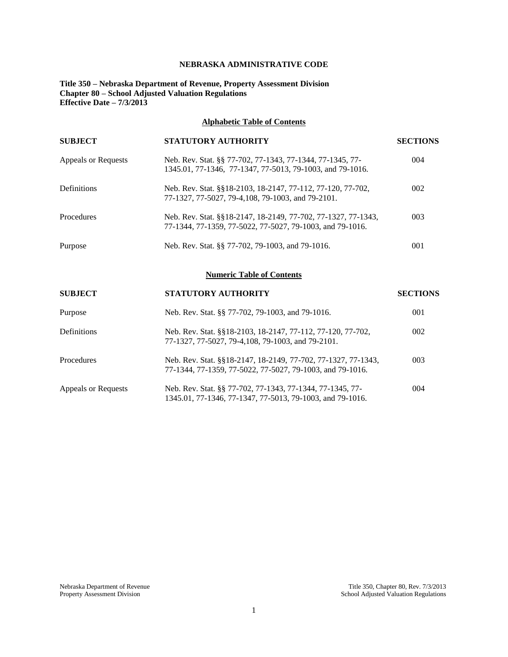## **NEBRASKA ADMINISTRATIVE CODE**

## **Title 350 – Nebraska Department of Revenue, Property Assessment Division Chapter 80 – School Adjusted Valuation Regulations Effective Date – 7/3/2013**

# **Alphabetic Table of Contents**

| <b>SUBJECT</b>      | <b>STATUTORY AUTHORITY</b>                                                                                                 | <b>SECTIONS</b> |
|---------------------|----------------------------------------------------------------------------------------------------------------------------|-----------------|
| Appeals or Requests | Neb. Rev. Stat. §§ 77-702, 77-1343, 77-1344, 77-1345, 77-<br>1345.01, 77-1346, 77-1347, 77-5013, 79-1003, and 79-1016.     | 004             |
| Definitions         | Neb. Rev. Stat. §§18-2103, 18-2147, 77-112, 77-120, 77-702,<br>77-1327, 77-5027, 79-4, 108, 79-1003, and 79-2101.          | 002             |
| <b>Procedures</b>   | Neb. Rev. Stat. §§18-2147, 18-2149, 77-702, 77-1327, 77-1343,<br>77-1344, 77-1359, 77-5022, 77-5027, 79-1003, and 79-1016. | 003             |
| Purpose             | Neb. Rev. Stat. §§ 77-702, 79-1003, and 79-1016.                                                                           | 001             |
|                     |                                                                                                                            |                 |

## **Numeric Table of Contents**

| <b>SUBJECT</b>      | <b>STATUTORY AUTHORITY</b>                                                                                                 | <b>SECTIONS</b> |
|---------------------|----------------------------------------------------------------------------------------------------------------------------|-----------------|
| Purpose             | Neb. Rev. Stat. §§ 77-702, 79-1003, and 79-1016.                                                                           | 001             |
| <b>Definitions</b>  | Neb. Rev. Stat. §§18-2103, 18-2147, 77-112, 77-120, 77-702,<br>77-1327, 77-5027, 79-4, 108, 79-1003, and 79-2101.          | 002             |
| Procedures          | Neb. Rev. Stat. §§18-2147, 18-2149, 77-702, 77-1327, 77-1343,<br>77-1344, 77-1359, 77-5022, 77-5027, 79-1003, and 79-1016. | 003             |
| Appeals or Requests | Neb. Rev. Stat. §§ 77-702, 77-1343, 77-1344, 77-1345, 77-<br>1345.01, 77-1346, 77-1347, 77-5013, 79-1003, and 79-1016.     | 004             |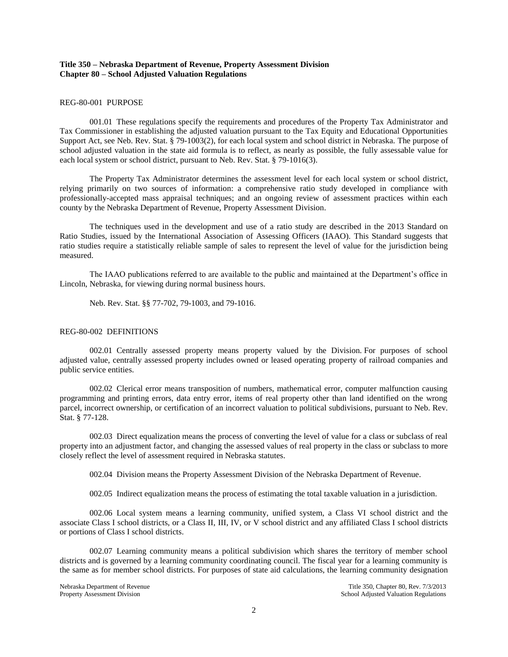## **Title 350 – Nebraska Department of Revenue, Property Assessment Division Chapter 80 – School Adjusted Valuation Regulations**

#### REG-80-001 PURPOSE

001.01 These regulations specify the requirements and procedures of the Property Tax Administrator and Tax Commissioner in establishing the adjusted valuation pursuant to the Tax Equity and Educational Opportunities Support Act, see Neb. Rev. Stat. § 79-1003(2), for each local system and school district in Nebraska. The purpose of school adjusted valuation in the state aid formula is to reflect, as nearly as possible, the fully assessable value for each local system or school district, pursuant to Neb. Rev. Stat. § 79-1016(3).

The Property Tax Administrator determines the assessment level for each local system or school district, relying primarily on two sources of information: a comprehensive ratio study developed in compliance with professionally-accepted mass appraisal techniques; and an ongoing review of assessment practices within each county by the Nebraska Department of Revenue, Property Assessment Division.

The techniques used in the development and use of a ratio study are described in the 2013 Standard on Ratio Studies, issued by the International Association of Assessing Officers (IAAO). This Standard suggests that ratio studies require a statistically reliable sample of sales to represent the level of value for the jurisdiction being measured.

The IAAO publications referred to are available to the public and maintained at the Department's office in Lincoln, Nebraska, for viewing during normal business hours.

Neb. Rev. Stat. §§ 77-702, 79-1003, and 79-1016.

#### REG-80-002 DEFINITIONS

002.01 Centrally assessed property means property valued by the Division. For purposes of school adjusted value, centrally assessed property includes owned or leased operating property of railroad companies and public service entities.

002.02 Clerical error means transposition of numbers, mathematical error, computer malfunction causing programming and printing errors, data entry error, items of real property other than land identified on the wrong parcel, incorrect ownership, or certification of an incorrect valuation to political subdivisions, pursuant to Neb. Rev. Stat. § 77-128.

002.03 Direct equalization means the process of converting the level of value for a class or subclass of real property into an adjustment factor, and changing the assessed values of real property in the class or subclass to more closely reflect the level of assessment required in Nebraska statutes.

002.04 Division means the Property Assessment Division of the Nebraska Department of Revenue.

002.05 Indirect equalization means the process of estimating the total taxable valuation in a jurisdiction.

002.06 Local system means a learning community, unified system, a Class VI school district and the associate Class I school districts, or a Class II, III, IV, or V school district and any affiliated Class I school districts or portions of Class I school districts.

002.07 Learning community means a political subdivision which shares the territory of member school districts and is governed by a learning community coordinating council. The fiscal year for a learning community is the same as for member school districts. For purposes of state aid calculations, the learning community designation

Nebraska Department of Revenue Title 350, Chapter 80, Rev. 7/3/2013<br>Property Assessment Division and Title 350, Chapter 80, Rev. 7/3/2013 School Adjusted Valuation Regulations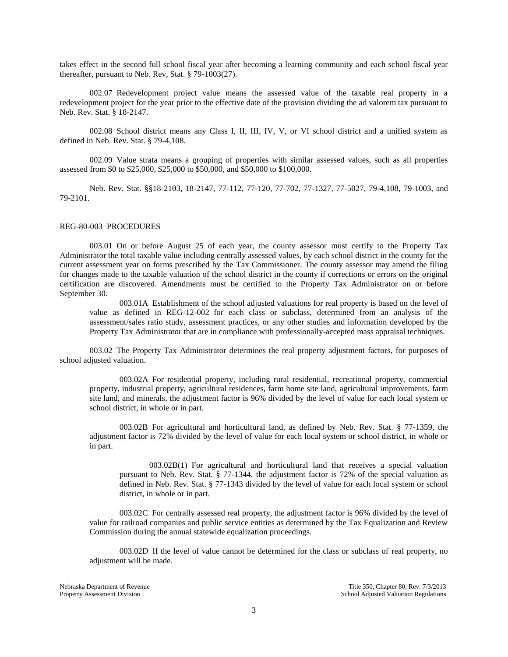takes effect in the second full school fiscal year after becoming a learning community and each school fiscal year thereafter, pursuant to Neb. Rev, Stat. § 79-1003(27).

002.07 Redevelopment project value means the assessed value of the taxable real property in a redevelopment project for the year prior to the effective date of the provision dividing the ad valorem tax pursuant to Neb. Rev. Stat. § 18-2147.

002.08 School district means any Class I, II, III, IV, V, or VI school district and a unified system as defined in Neb. Rev. Stat. § 79-4,108.

002.09 Value strata means a grouping of properties with similar assessed values, such as all properties assessed from \$0 to \$25,000, \$25,000 to \$50,000, and \$50,000 to \$100,000.

Neb. Rev. Stat. §§18-2103, 18-2147, 77-112, 77-120, 77-702, 77-1327, 77-5027, 79-4,108, 79-1003, and 79-2101.

#### REG-80-003 PROCEDURES

003.01 On or before August 25 of each year, the county assessor must certify to the Property Tax Administrator the total taxable value including centrally assessed values, by each school district in the county for the current assessment year on forms prescribed by the Tax Commissioner. The county assessor may amend the filing for changes made to the taxable valuation of the school district in the county if corrections or errors on the original certification are discovered. Amendments must be certified to the Property Tax Administrator on or before September 30.

003.01A Establishment of the school adjusted valuations for real property is based on the level of value as defined in REG-12-002 for each class or subclass, determined from an analysis of the assessment/sales ratio study, assessment practices, or any other studies and information developed by the Property Tax Administrator that are in compliance with professionally-accepted mass appraisal techniques.

003.02 The Property Tax Administrator determines the real property adjustment factors, for purposes of school adjusted valuation.

003.02A For residential property, including rural residential, recreational property, commercial property, industrial property, agricultural residences, farm home site land, agricultural improvements, farm site land, and minerals, the adjustment factor is 96% divided by the level of value for each local system or school district, in whole or in part.

003.02B For agricultural and horticultural land, as defined by Neb. Rev. Stat. § 77-1359, the adjustment factor is 72% divided by the level of value for each local system or school district, in whole or in part.

003.02B(1) For agricultural and horticultural land that receives a special valuation pursuant to Neb. Rev. Stat. § 77-1344, the adjustment factor is 72% of the special valuation as defined in Neb. Rev. Stat. § 77-1343 divided by the level of value for each local system or school district, in whole or in part.

003.02C For centrally assessed real property, the adjustment factor is 96% divided by the level of value for railroad companies and public service entities as determined by the Tax Equalization and Review Commission during the annual statewide equalization proceedings.

003.02D If the level of value cannot be determined for the class or subclass of real property, no adjustment will be made.

Nebraska Department of Revenue Title 350, Chapter 80, Rev. 7/3/2013 Property Assessment Division **School Adjusted Valuation Regulations** School Adjusted Valuation Regulations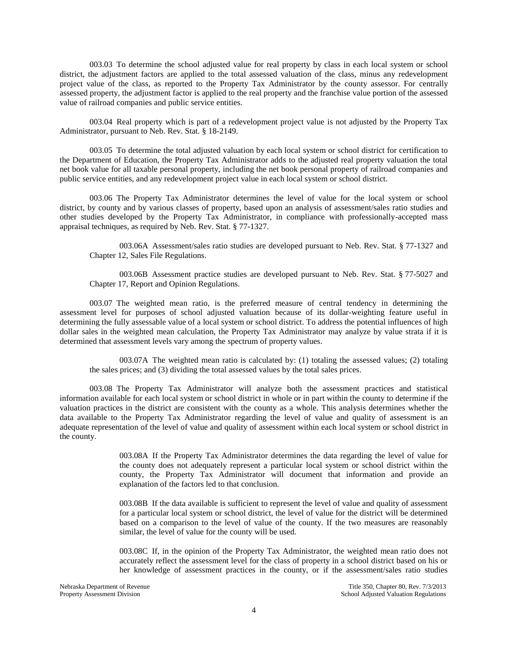003.03 To determine the school adjusted value for real property by class in each local system or school district, the adjustment factors are applied to the total assessed valuation of the class, minus any redevelopment project value of the class, as reported to the Property Tax Administrator by the county assessor. For centrally assessed property, the adjustment factor is applied to the real property and the franchise value portion of the assessed value of railroad companies and public service entities.

003.04 Real property which is part of a redevelopment project value is not adjusted by the Property Tax Administrator, pursuant to Neb. Rev. Stat. § 18-2149.

003.05 To determine the total adjusted valuation by each local system or school district for certification to the Department of Education, the Property Tax Administrator adds to the adjusted real property valuation the total net book value for all taxable personal property, including the net book personal property of railroad companies and public service entities, and any redevelopment project value in each local system or school district.

003.06 The Property Tax Administrator determines the level of value for the local system or school district, by county and by various classes of property, based upon an analysis of assessment/sales ratio studies and other studies developed by the Property Tax Administrator, in compliance with professionally-accepted mass appraisal techniques, as required by Neb. Rev. Stat. § 77-1327.

003.06A Assessment/sales ratio studies are developed pursuant to Neb. Rev. Stat. § 77-1327 and Chapter 12, Sales File Regulations.

003.06B Assessment practice studies are developed pursuant to Neb. Rev. Stat. § 77-5027 and Chapter 17, Report and Opinion Regulations.

003.07 The weighted mean ratio, is the preferred measure of central tendency in determining the assessment level for purposes of school adjusted valuation because of its dollar-weighting feature useful in determining the fully assessable value of a local system or school district. To address the potential influences of high dollar sales in the weighted mean calculation, the Property Tax Administrator may analyze by value strata if it is determined that assessment levels vary among the spectrum of property values.

003.07A The weighted mean ratio is calculated by: (1) totaling the assessed values; (2) totaling the sales prices; and (3) dividing the total assessed values by the total sales prices.

003.08 The Property Tax Administrator will analyze both the assessment practices and statistical information available for each local system or school district in whole or in part within the county to determine if the valuation practices in the district are consistent with the county as a whole. This analysis determines whether the data available to the Property Tax Administrator regarding the level of value and quality of assessment is an adequate representation of the level of value and quality of assessment within each local system or school district in the county.

> 003.08A If the Property Tax Administrator determines the data regarding the level of value for the county does not adequately represent a particular local system or school district within the county, the Property Tax Administrator will document that information and provide an explanation of the factors led to that conclusion.

> 003.08B If the data available is sufficient to represent the level of value and quality of assessment for a particular local system or school district, the level of value for the district will be determined based on a comparison to the level of value of the county. If the two measures are reasonably similar, the level of value for the county will be used.

> 003.08C If, in the opinion of the Property Tax Administrator, the weighted mean ratio does not accurately reflect the assessment level for the class of property in a school district based on his or her knowledge of assessment practices in the county, or if the assessment/sales ratio studies

Nebraska Department of Revenue Title 350, Chapter 80, Rev. 7/3/2013 Property Assessment Division **School Adjusted Valuation Regulations** School Adjusted Valuation Regulations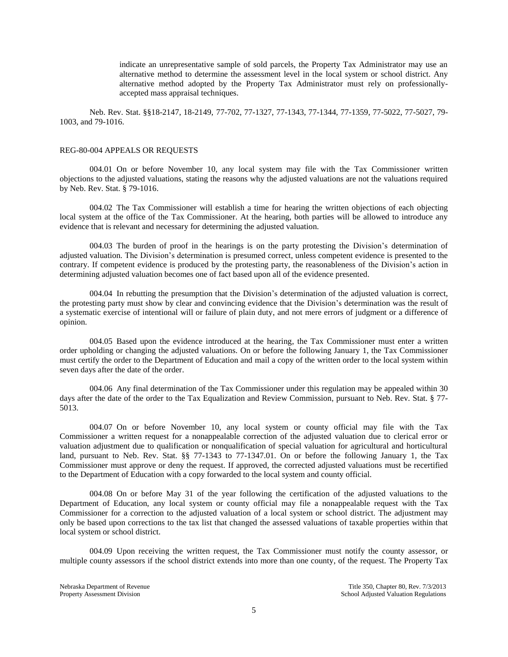indicate an unrepresentative sample of sold parcels, the Property Tax Administrator may use an alternative method to determine the assessment level in the local system or school district. Any alternative method adopted by the Property Tax Administrator must rely on professionallyaccepted mass appraisal techniques.

Neb. Rev. Stat. §§18-2147, 18-2149, 77-702, 77-1327, 77-1343, 77-1344, 77-1359, 77-5022, 77-5027, 79- 1003, and 79-1016.

#### REG-80-004 APPEALS OR REQUESTS

004.01 On or before November 10, any local system may file with the Tax Commissioner written objections to the adjusted valuations, stating the reasons why the adjusted valuations are not the valuations required by Neb. Rev. Stat. § 79-1016.

004.02 The Tax Commissioner will establish a time for hearing the written objections of each objecting local system at the office of the Tax Commissioner. At the hearing, both parties will be allowed to introduce any evidence that is relevant and necessary for determining the adjusted valuation.

004.03 The burden of proof in the hearings is on the party protesting the Division's determination of adjusted valuation. The Division's determination is presumed correct, unless competent evidence is presented to the contrary. If competent evidence is produced by the protesting party, the reasonableness of the Division's action in determining adjusted valuation becomes one of fact based upon all of the evidence presented.

004.04 In rebutting the presumption that the Division's determination of the adjusted valuation is correct, the protesting party must show by clear and convincing evidence that the Division's determination was the result of a systematic exercise of intentional will or failure of plain duty, and not mere errors of judgment or a difference of opinion.

004.05 Based upon the evidence introduced at the hearing, the Tax Commissioner must enter a written order upholding or changing the adjusted valuations. On or before the following January 1, the Tax Commissioner must certify the order to the Department of Education and mail a copy of the written order to the local system within seven days after the date of the order.

004.06 Any final determination of the Tax Commissioner under this regulation may be appealed within 30 days after the date of the order to the Tax Equalization and Review Commission, pursuant to Neb. Rev. Stat. § 77-5013.

004.07 On or before November 10, any local system or county official may file with the Tax Commissioner a written request for a nonappealable correction of the adjusted valuation due to clerical error or valuation adjustment due to qualification or nonqualification of special valuation for agricultural and horticultural land, pursuant to Neb. Rev. Stat. §§ 77-1343 to 77-1347.01. On or before the following January 1, the Tax Commissioner must approve or deny the request. If approved, the corrected adjusted valuations must be recertified to the Department of Education with a copy forwarded to the local system and county official.

004.08 On or before May 31 of the year following the certification of the adjusted valuations to the Department of Education, any local system or county official may file a nonappealable request with the Tax Commissioner for a correction to the adjusted valuation of a local system or school district. The adjustment may only be based upon corrections to the tax list that changed the assessed valuations of taxable properties within that local system or school district.

004.09 Upon receiving the written request, the Tax Commissioner must notify the county assessor, or multiple county assessors if the school district extends into more than one county, of the request. The Property Tax